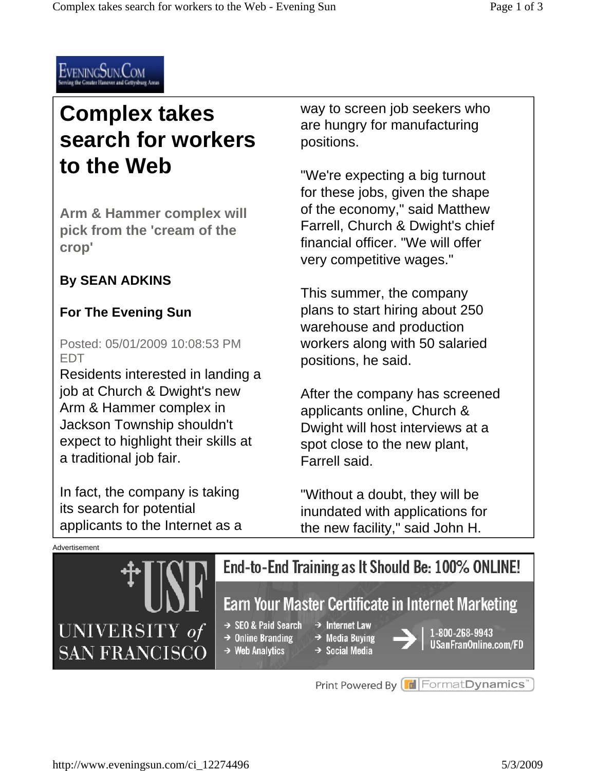

# **Complex takes search for workers to the Web**

**Arm & Hammer complex will pick from the 'cream of the crop'** 

#### **By SEAN ADKINS**

#### **For The Evening Sun**

Posted: 05/01/2009 10:08:53 PM EDT

Residents interested in landing a job at Church & Dwight's new Arm & Hammer complex in Jackson Township shouldn't expect to highlight their skills at a traditional job fair.

In fact, the company is taking its search for potential applicants to the Internet as a way to screen job seekers who are hungry for manufacturing positions.

"We're expecting a big turnout for these jobs, given the shape of the economy," said Matthew Farrell, Church & Dwight's chief financial officer. "We will offer very competitive wages."

This summer, the company plans to start hiring about 250 warehouse and production workers along with 50 salaried positions, he said.

After the company has screened applicants online, Church & Dwight will host interviews at a spot close to the new plant, Farrell said.

"Without a doubt, they will be inundated with applications for the new facility," said John H.



Print Powered By **FormatDynamics**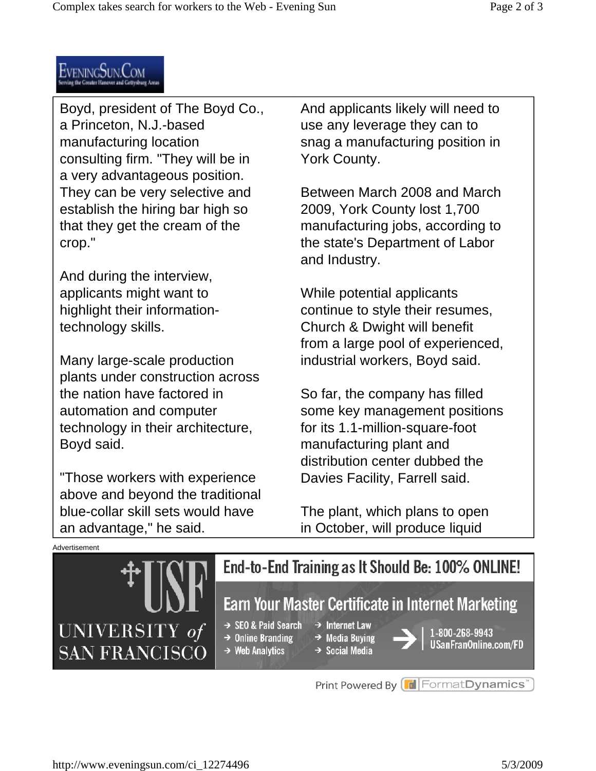

Boyd, president of The Boyd Co., a Princeton, N.J.-based manufacturing location consulting firm. "They will be in a very advantageous position. They can be very selective and establish the hiring bar high so that they get the cream of the crop."

And during the interview, applicants might want to highlight their informationtechnology skills.

Many large-scale production plants under construction across the nation have factored in automation and computer technology in their architecture, Boyd said.

"Those workers with experience above and beyond the traditional blue-collar skill sets would have an advantage," he said.

And applicants likely will need to use any leverage they can to snag a manufacturing position in York County.

Between March 2008 and March 2009, York County lost 1,700 manufacturing jobs, according to the state's Department of Labor and Industry.

While potential applicants continue to style their resumes, Church & Dwight will benefit from a large pool of experienced, industrial workers, Boyd said.

So far, the company has filled some key management positions for its 1.1-million-square-foot manufacturing plant and distribution center dubbed the Davies Facility, Farrell said.

The plant, which plans to open in October, will produce liquid



Print Powered By FormatDynamics